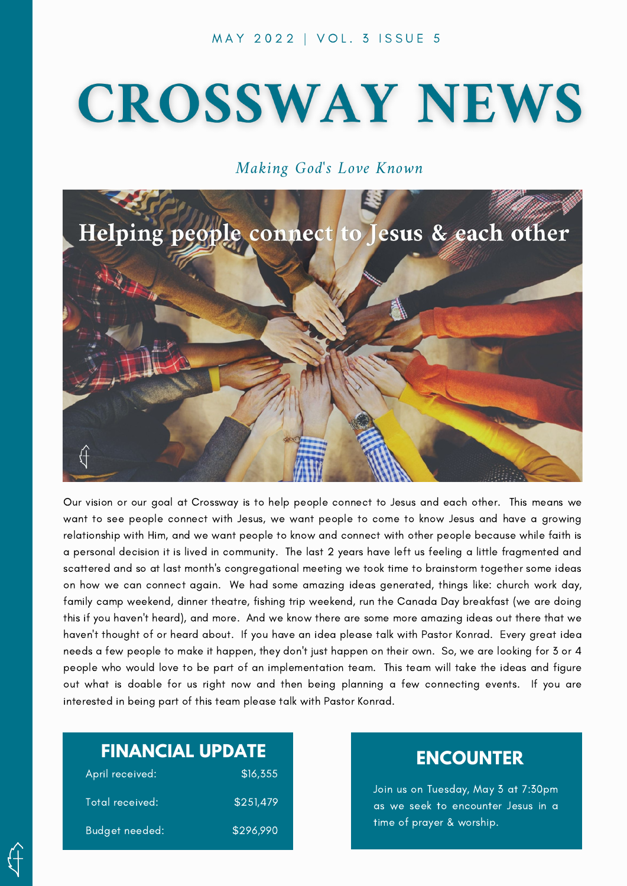# **CROSSWAY NEWS**

### Making God's Love Known



Our vision or our goal at Crossway is to help people connect to Jesus and each other. This means we want to see people connect with Jesus, we want people to come to know Jesus and have a growing relationship with Him, and we want people to know and connect with other people because while faith is a personal decision it is lived in community. The last 2 years have left us feeling a little fragmented and scattered and so at last month's congregational meeting we took time to brainstorm together some ideas on how we can connect again. We had some amazing ideas generated, things like: church work day, family camp weekend, dinner theatre, fishing trip weekend, run the Canada Day breakfast (we are doing this if you haven't heard), and more. And we know there are some more amazing ideas out there that we haven't thought of or heard about. If you have an idea please talk with Pastor Konrad. Every great idea needs a few people to make it happen, they don't just happen on their own. So, we are looking for 3 or 4 people who would love to be part of an implementation team. This team will take the ideas and figure out what is doable for us right now and then being planning a few connecting events. If you are interested in being part of this team please talk with Pastor Konrad.

## **FINANCIAL UPDATE**

| April received: | \$16,355  |
|-----------------|-----------|
| Total received: | \$251,479 |
| Budget needed:  | \$296,990 |

## **ENCOUNTER**

Join us on Tuesday, May 3 at 7:30pm as we seek to encounter Jesus in a time of prayer & worship.